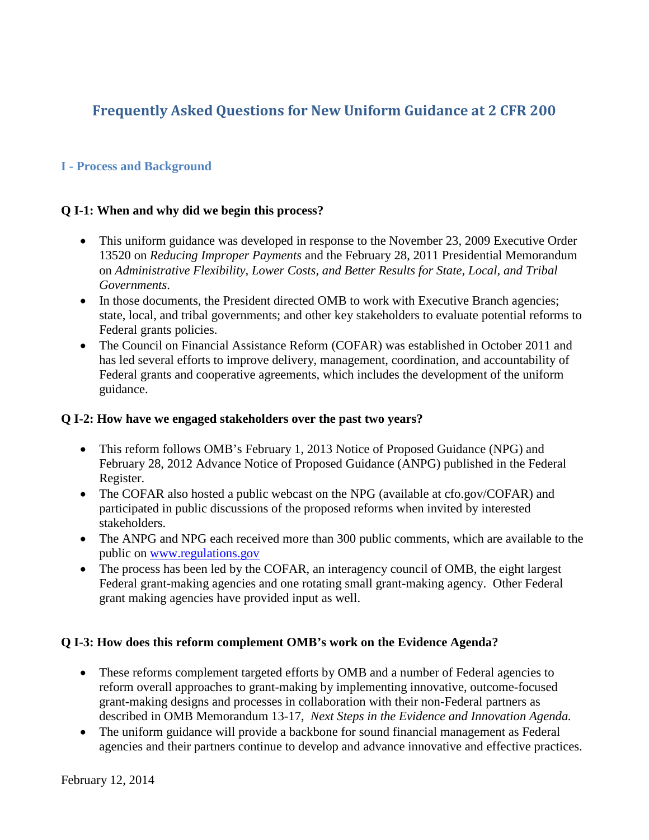# **Frequently Asked Questions for New Uniform Guidance at 2 CFR 200**

## **I - Process and Background**

#### **Q I-1: When and why did we begin this process?**

- This uniform guidance was developed in response to the November 23, 2009 Executive Order 13520 on *Reducing Improper Payments* and the February 28, 2011 Presidential Memorandum on *Administrative Flexibility, Lower Costs, and Better Results for State, Local, and Tribal Governments*.
- In those documents, the President directed OMB to work with Executive Branch agencies; state, local, and tribal governments; and other key stakeholders to evaluate potential reforms to Federal grants policies.
- The Council on Financial Assistance Reform (COFAR) was established in October 2011 and has led several efforts to improve delivery, management, coordination, and accountability of Federal grants and cooperative agreements, which includes the development of the uniform guidance.

#### **Q I-2: How have we engaged stakeholders over the past two years?**

- This reform follows OMB's February 1, 2013 Notice of Proposed Guidance (NPG) and February 28, 2012 Advance Notice of Proposed Guidance (ANPG) published in the Federal Register.
- The COFAR also hosted a public webcast on the NPG (available at cfo.gov/COFAR) and participated in public discussions of the proposed reforms when invited by interested stakeholders.
- The ANPG and NPG each received more than 300 public comments, which are available to the public on [www.regulations.gov](http://www.regulations.gov/)
- The process has been led by the COFAR, an interagency council of OMB, the eight largest Federal grant-making agencies and one rotating small grant-making agency. Other Federal grant making agencies have provided input as well.

### **Q I-3: How does this reform complement OMB's work on the Evidence Agenda?**

- These reforms complement targeted efforts by OMB and a number of Federal agencies to reform overall approaches to grant-making by implementing innovative, outcome-focused grant-making designs and processes in collaboration with their non-Federal partners as described in OMB Memorandum 13-17, *Next Steps in the Evidence and Innovation Agenda.*
- The uniform guidance will provide a backbone for sound financial management as Federal agencies and their partners continue to develop and advance innovative and effective practices.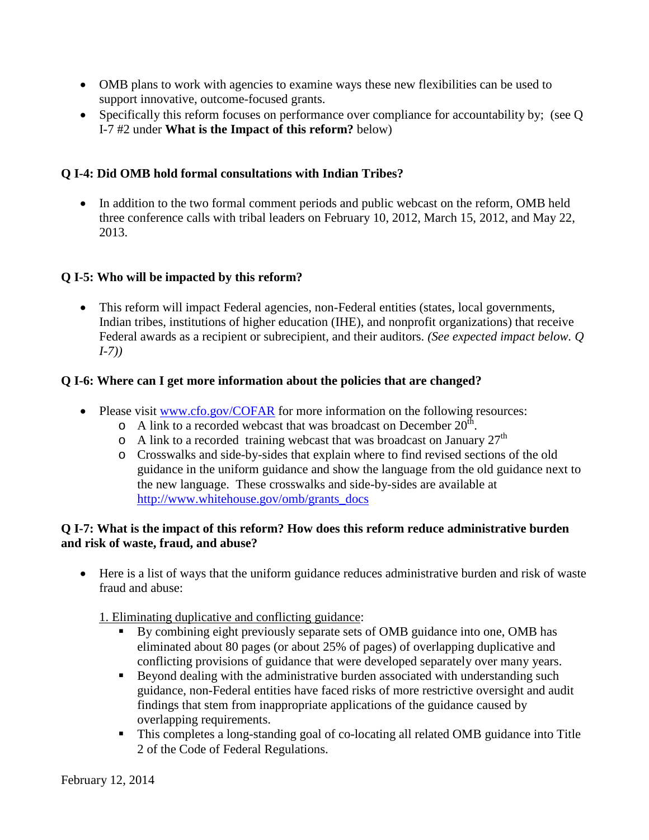- OMB plans to work with agencies to examine ways these new flexibilities can be used to support innovative, outcome-focused grants.
- Specifically this reform focuses on performance over compliance for accountability by; (see Q I-7 #2 under **What is the Impact of this reform?** below)

# **Q I-4: Did OMB hold formal consultations with Indian Tribes?**

• In addition to the two formal comment periods and public webcast on the reform, OMB held three conference calls with tribal leaders on February 10, 2012, March 15, 2012, and May 22, 2013.

# **Q I-5: Who will be impacted by this reform?**

• This reform will impact Federal agencies, non-Federal entities (states, local governments, Indian tribes, institutions of higher education (IHE), and nonprofit organizations) that receive Federal awards as a recipient or subrecipient, and their auditors. *(See expected impact below. Q I-7))*

# **Q I-6: Where can I get more information about the policies that are changed?**

- Please visit [www.cfo.gov/COFAR](http://www.cfo.gov/COFAR) for more information on the following resources:
	- $\circ$  A link to a recorded webcast that was broadcast on December 20<sup>th</sup>.
	- $\circ$  A link to a recorded training webcast that was broadcast on January 27<sup>th</sup>
	- o Crosswalks and side-by-sides that explain where to find revised sections of the old guidance in the uniform guidance and show the language from the old guidance next to the new language. These crosswalks and side-by-sides are available at [http://www.whitehouse.gov/omb/grants\\_docs](http://www.whitehouse.gov/omb/grants_docs)

### **Q I-7: What is the impact of this reform? How does this reform reduce administrative burden and risk of waste, fraud, and abuse?**

• Here is a list of ways that the uniform guidance reduces administrative burden and risk of waste fraud and abuse:

1. Eliminating duplicative and conflicting guidance:

- By combining eight previously separate sets of OMB guidance into one, OMB has eliminated about 80 pages (or about 25% of pages) of overlapping duplicative and conflicting provisions of guidance that were developed separately over many years.
- Beyond dealing with the administrative burden associated with understanding such guidance, non-Federal entities have faced risks of more restrictive oversight and audit findings that stem from inappropriate applications of the guidance caused by overlapping requirements.
- This completes a long-standing goal of co-locating all related OMB guidance into Title 2 of the Code of Federal Regulations.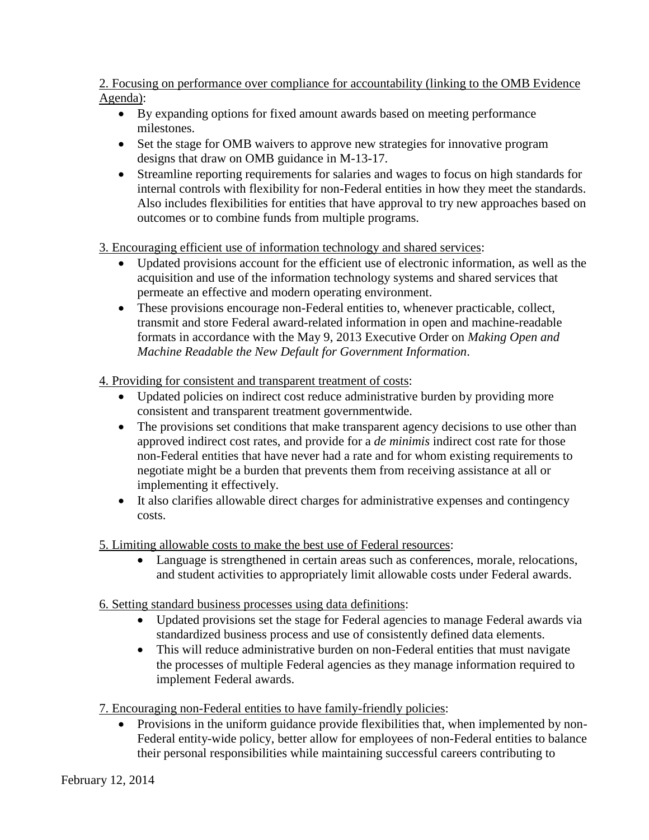2. Focusing on performance over compliance for accountability (linking to the OMB Evidence Agenda):

- By expanding options for fixed amount awards based on meeting performance milestones.
- Set the stage for OMB waivers to approve new strategies for innovative program designs that draw on OMB guidance in M-13-17.
- Streamline reporting requirements for salaries and wages to focus on high standards for internal controls with flexibility for non-Federal entities in how they meet the standards. Also includes flexibilities for entities that have approval to try new approaches based on outcomes or to combine funds from multiple programs.

3. Encouraging efficient use of information technology and shared services:

- Updated provisions account for the efficient use of electronic information, as well as the acquisition and use of the information technology systems and shared services that permeate an effective and modern operating environment.
- These provisions encourage non-Federal entities to, whenever practicable, collect, transmit and store Federal award-related information in open and machine-readable formats in accordance with the May 9, 2013 Executive Order on *Making Open and Machine Readable the New Default for Government Information*.

4. Providing for consistent and transparent treatment of costs:

- Updated policies on indirect cost reduce administrative burden by providing more consistent and transparent treatment governmentwide.
- The provisions set conditions that make transparent agency decisions to use other than approved indirect cost rates, and provide for a *de minimis* indirect cost rate for those non-Federal entities that have never had a rate and for whom existing requirements to negotiate might be a burden that prevents them from receiving assistance at all or implementing it effectively.
- It also clarifies allowable direct charges for administrative expenses and contingency costs.

5. Limiting allowable costs to make the best use of Federal resources:

- Language is strengthened in certain areas such as conferences, morale, relocations, and student activities to appropriately limit allowable costs under Federal awards.
- 6. Setting standard business processes using data definitions:
	- Updated provisions set the stage for Federal agencies to manage Federal awards via standardized business process and use of consistently defined data elements.
	- This will reduce administrative burden on non-Federal entities that must navigate the processes of multiple Federal agencies as they manage information required to implement Federal awards.
- 7. Encouraging non-Federal entities to have family-friendly policies:
	- Provisions in the uniform guidance provide flexibilities that, when implemented by non-Federal entity-wide policy, better allow for employees of non-Federal entities to balance their personal responsibilities while maintaining successful careers contributing to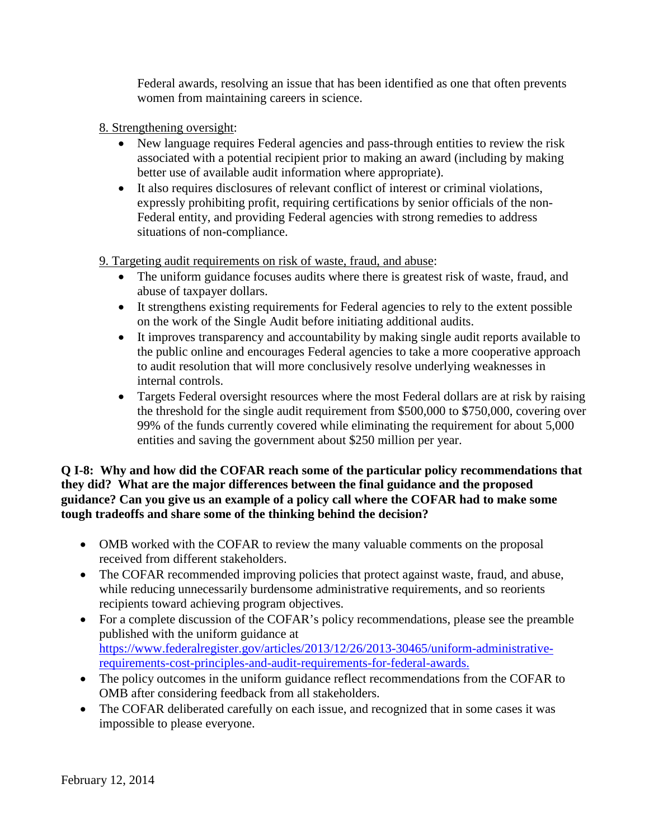Federal awards, resolving an issue that has been identified as one that often prevents women from maintaining careers in science.

- 8. Strengthening oversight:
	- New language requires Federal agencies and pass-through entities to review the risk associated with a potential recipient prior to making an award (including by making better use of available audit information where appropriate).
	- It also requires disclosures of relevant conflict of interest or criminal violations, expressly prohibiting profit, requiring certifications by senior officials of the non-Federal entity, and providing Federal agencies with strong remedies to address situations of non-compliance.

9. Targeting audit requirements on risk of waste, fraud, and abuse:

- The uniform guidance focuses audits where there is greatest risk of waste, fraud, and abuse of taxpayer dollars.
- It strengthens existing requirements for Federal agencies to rely to the extent possible on the work of the Single Audit before initiating additional audits.
- It improves transparency and accountability by making single audit reports available to the public online and encourages Federal agencies to take a more cooperative approach to audit resolution that will more conclusively resolve underlying weaknesses in internal controls.
- Targets Federal oversight resources where the most Federal dollars are at risk by raising the threshold for the single audit requirement from \$500,000 to \$750,000, covering over 99% of the funds currently covered while eliminating the requirement for about 5,000 entities and saving the government about \$250 million per year.

**Q I-8: Why and how did the COFAR reach some of the particular policy recommendations that they did? What are the major differences between the final guidance and the proposed guidance? Can you give us an example of a policy call where the COFAR had to make some tough tradeoffs and share some of the thinking behind the decision?**

- OMB worked with the COFAR to review the many valuable comments on the proposal received from different stakeholders.
- The COFAR recommended improving policies that protect against waste, fraud, and abuse, while reducing unnecessarily burdensome administrative requirements, and so reorients recipients toward achieving program objectives.
- For a complete discussion of the COFAR's policy recommendations, please see the preamble published with the uniform guidance at [https://www.federalregister.gov/articles/2013/12/26/2013-30465/uniform-administrative](https://www.federalregister.gov/articles/2013/12/26/2013-30465/uniform-administrative-requirements-cost-principles-and-audit-requirements-for-federal-awards.)[requirements-cost-principles-and-audit-requirements-for-federal-awards.](https://www.federalregister.gov/articles/2013/12/26/2013-30465/uniform-administrative-requirements-cost-principles-and-audit-requirements-for-federal-awards.)
- The policy outcomes in the uniform guidance reflect recommendations from the COFAR to OMB after considering feedback from all stakeholders.
- The COFAR deliberated carefully on each issue, and recognized that in some cases it was impossible to please everyone.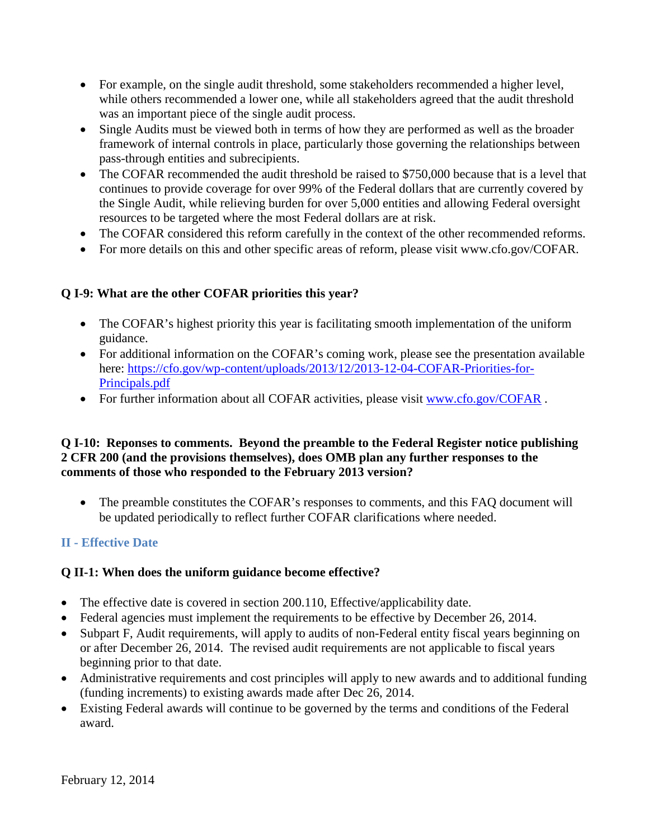- For example, on the single audit threshold, some stakeholders recommended a higher level, while others recommended a lower one, while all stakeholders agreed that the audit threshold was an important piece of the single audit process.
- Single Audits must be viewed both in terms of how they are performed as well as the broader framework of internal controls in place, particularly those governing the relationships between pass-through entities and subrecipients.
- The COFAR recommended the audit threshold be raised to \$750,000 because that is a level that continues to provide coverage for over 99% of the Federal dollars that are currently covered by the Single Audit, while relieving burden for over 5,000 entities and allowing Federal oversight resources to be targeted where the most Federal dollars are at risk.
- The COFAR considered this reform carefully in the context of the other recommended reforms.
- For more details on this and other specific areas of reform, please visit www.cfo.gov/COFAR.

# **Q I-9: What are the other COFAR priorities this year?**

- The COFAR's highest priority this year is facilitating smooth implementation of the uniform guidance.
- For additional information on the COFAR's coming work, please see the presentation available here: [https://cfo.gov/wp-content/uploads/2013/12/2013-12-04-COFAR-Priorities-for-](https://cfo.gov/wp-content/uploads/2013/12/2013-12-04-COFAR-Priorities-for-Principals.pdf)[Principals.pdf](https://cfo.gov/wp-content/uploads/2013/12/2013-12-04-COFAR-Priorities-for-Principals.pdf)
- For further information about all COFAR activities, please visit [www.cfo.gov/COFAR](http://www.cfo.gov/COFAR).

### **Q I-10: Reponses to comments. Beyond the preamble to the Federal Register notice publishing 2 CFR 200 (and the provisions themselves), does OMB plan any further responses to the comments of those who responded to the February 2013 version?**

• The preamble constitutes the COFAR's responses to comments, and this FAQ document will be updated periodically to reflect further COFAR clarifications where needed.

# **II - Effective Date**

### **Q II-1: When does the uniform guidance become effective?**

- The effective date is covered in section 200.110, Effective/applicability date.
- Federal agencies must implement the requirements to be effective by December 26, 2014.
- Subpart F, Audit requirements, will apply to audits of non-Federal entity fiscal years beginning on or after December 26, 2014. The revised audit requirements are not applicable to fiscal years beginning prior to that date.
- Administrative requirements and cost principles will apply to new awards and to additional funding (funding increments) to existing awards made after Dec 26, 2014.
- Existing Federal awards will continue to be governed by the terms and conditions of the Federal award.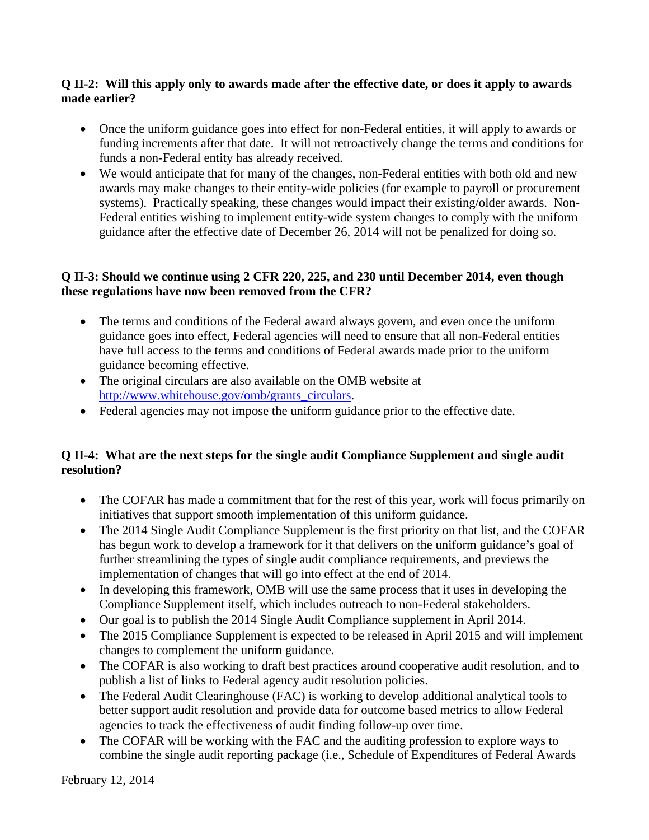### **Q II-2: Will this apply only to awards made after the effective date, or does it apply to awards made earlier?**

- Once the uniform guidance goes into effect for non-Federal entities, it will apply to awards or funding increments after that date. It will not retroactively change the terms and conditions for funds a non-Federal entity has already received.
- We would anticipate that for many of the changes, non-Federal entities with both old and new awards may make changes to their entity-wide policies (for example to payroll or procurement systems). Practically speaking, these changes would impact their existing/older awards. Non-Federal entities wishing to implement entity-wide system changes to comply with the uniform guidance after the effective date of December 26, 2014 will not be penalized for doing so.

#### **Q II-3: Should we continue using 2 CFR 220, 225, and 230 until December 2014, even though these regulations have now been removed from the CFR?**

- The terms and conditions of the Federal award always govern, and even once the uniform guidance goes into effect, Federal agencies will need to ensure that all non-Federal entities have full access to the terms and conditions of Federal awards made prior to the uniform guidance becoming effective.
- The original circulars are also available on the OMB website at [http://www.whitehouse.gov/omb/grants\\_circulars.](http://www.whitehouse.gov/omb/grants_circulars)
- Federal agencies may not impose the uniform guidance prior to the effective date.

# **Q II-4: What are the next steps for the single audit Compliance Supplement and single audit resolution?**

- The COFAR has made a commitment that for the rest of this year, work will focus primarily on initiatives that support smooth implementation of this uniform guidance.
- The 2014 Single Audit Compliance Supplement is the first priority on that list, and the COFAR has begun work to develop a framework for it that delivers on the uniform guidance's goal of further streamlining the types of single audit compliance requirements, and previews the implementation of changes that will go into effect at the end of 2014.
- In developing this framework, OMB will use the same process that it uses in developing the Compliance Supplement itself, which includes outreach to non-Federal stakeholders.
- Our goal is to publish the 2014 Single Audit Compliance supplement in April 2014.
- The 2015 Compliance Supplement is expected to be released in April 2015 and will implement changes to complement the uniform guidance.
- The COFAR is also working to draft best practices around cooperative audit resolution, and to publish a list of links to Federal agency audit resolution policies.
- The Federal Audit Clearinghouse (FAC) is working to develop additional analytical tools to better support audit resolution and provide data for outcome based metrics to allow Federal agencies to track the effectiveness of audit finding follow-up over time.
- The COFAR will be working with the FAC and the auditing profession to explore ways to combine the single audit reporting package (i.e., Schedule of Expenditures of Federal Awards

February 12, 2014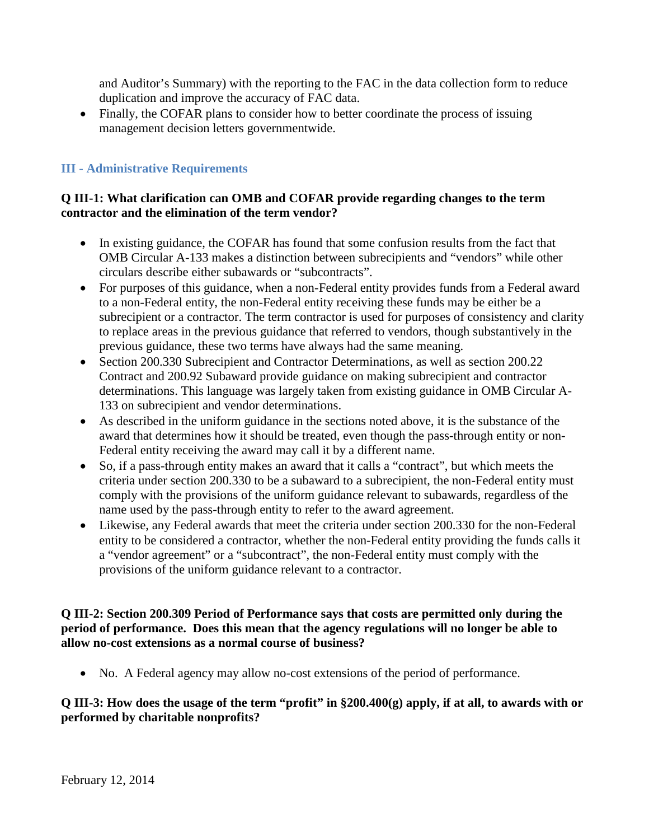and Auditor's Summary) with the reporting to the FAC in the data collection form to reduce duplication and improve the accuracy of FAC data.

• Finally, the COFAR plans to consider how to better coordinate the process of issuing management decision letters governmentwide.

# **III - Administrative Requirements**

#### **Q III-1: What clarification can OMB and COFAR provide regarding changes to the term contractor and the elimination of the term vendor?**

- In existing guidance, the COFAR has found that some confusion results from the fact that OMB Circular A-133 makes a distinction between subrecipients and "vendors" while other circulars describe either subawards or "subcontracts".
- For purposes of this guidance, when a non-Federal entity provides funds from a Federal award to a non-Federal entity, the non-Federal entity receiving these funds may be either be a subrecipient or a contractor. The term contractor is used for purposes of consistency and clarity to replace areas in the previous guidance that referred to vendors, though substantively in the previous guidance, these two terms have always had the same meaning.
- Section 200.330 Subrecipient and Contractor Determinations, as well as section 200.22 Contract and 200.92 Subaward provide guidance on making subrecipient and contractor determinations. This language was largely taken from existing guidance in OMB Circular A-133 on subrecipient and vendor determinations.
- As described in the uniform guidance in the sections noted above, it is the substance of the award that determines how it should be treated, even though the pass-through entity or non-Federal entity receiving the award may call it by a different name.
- So, if a pass-through entity makes an award that it calls a "contract", but which meets the criteria under section 200.330 to be a subaward to a subrecipient, the non-Federal entity must comply with the provisions of the uniform guidance relevant to subawards, regardless of the name used by the pass-through entity to refer to the award agreement.
- Likewise, any Federal awards that meet the criteria under section 200.330 for the non-Federal entity to be considered a contractor, whether the non-Federal entity providing the funds calls it a "vendor agreement" or a "subcontract", the non-Federal entity must comply with the provisions of the uniform guidance relevant to a contractor.

#### **Q III-2: Section 200.309 Period of Performance says that costs are permitted only during the period of performance. Does this mean that the agency regulations will no longer be able to allow no-cost extensions as a normal course of business?**

• No. A Federal agency may allow no-cost extensions of the period of performance.

#### **Q III-3: How does the usage of the term "profit" in §200.400(g) apply, if at all, to awards with or performed by charitable nonprofits?**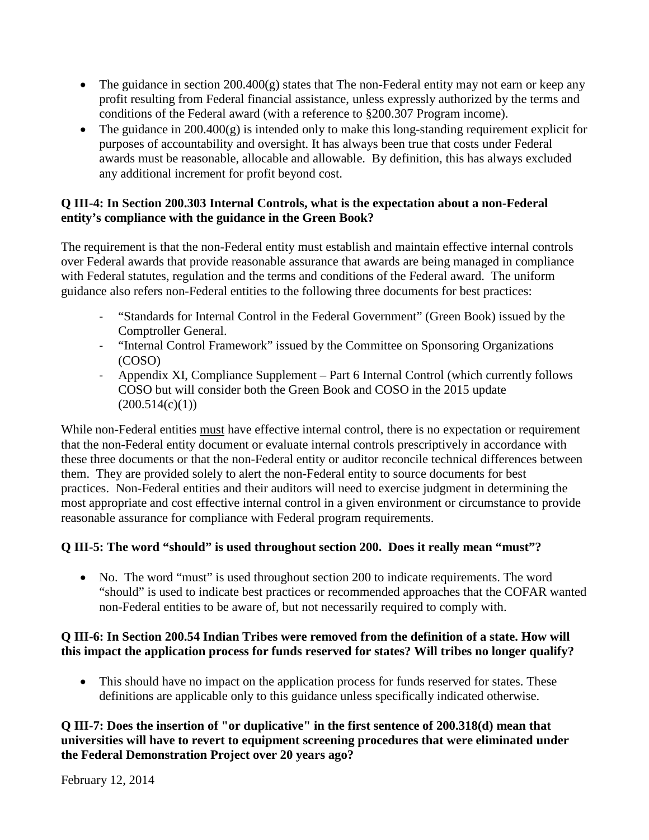- The guidance in section 200.400(g) states that The non-Federal entity may not earn or keep any profit resulting from Federal financial assistance, unless expressly authorized by the terms and conditions of the Federal award (with a reference to §200.307 Program income).
- The guidance in  $200.400(g)$  is intended only to make this long-standing requirement explicit for purposes of accountability and oversight. It has always been true that costs under Federal awards must be reasonable, allocable and allowable. By definition, this has always excluded any additional increment for profit beyond cost.

### **Q III-4: In Section 200.303 Internal Controls, what is the expectation about a non-Federal entity's compliance with the guidance in the Green Book?**

The requirement is that the non-Federal entity must establish and maintain effective internal controls over Federal awards that provide reasonable assurance that awards are being managed in compliance with Federal statutes, regulation and the terms and conditions of the Federal award. The uniform guidance also refers non-Federal entities to the following three documents for best practices:

- "Standards for Internal Control in the Federal Government" (Green Book) issued by the Comptroller General.
- "Internal Control Framework" issued by the Committee on Sponsoring Organizations (COSO)
- Appendix XI, Compliance Supplement Part 6 Internal Control (which currently follows COSO but will consider both the Green Book and COSO in the 2015 update  $(200.514(c)(1))$

While non-Federal entities must have effective internal control, there is no expectation or requirement that the non-Federal entity document or evaluate internal controls prescriptively in accordance with these three documents or that the non-Federal entity or auditor reconcile technical differences between them. They are provided solely to alert the non-Federal entity to source documents for best practices. Non-Federal entities and their auditors will need to exercise judgment in determining the most appropriate and cost effective internal control in a given environment or circumstance to provide reasonable assurance for compliance with Federal program requirements.

# **Q III-5: The word "should" is used throughout section 200. Does it really mean "must"?**

• No. The word "must" is used throughout section 200 to indicate requirements. The word "should" is used to indicate best practices or recommended approaches that the COFAR wanted non-Federal entities to be aware of, but not necessarily required to comply with.

# **Q III-6: In Section 200.54 Indian Tribes were removed from the definition of a state. How will this impact the application process for funds reserved for states? Will tribes no longer qualify?**

• This should have no impact on the application process for funds reserved for states. These definitions are applicable only to this guidance unless specifically indicated otherwise.

# **Q III-7: Does the insertion of "or duplicative" in the first sentence of 200.318(d) mean that universities will have to revert to equipment screening procedures that were eliminated under the Federal Demonstration Project over 20 years ago?**

February 12, 2014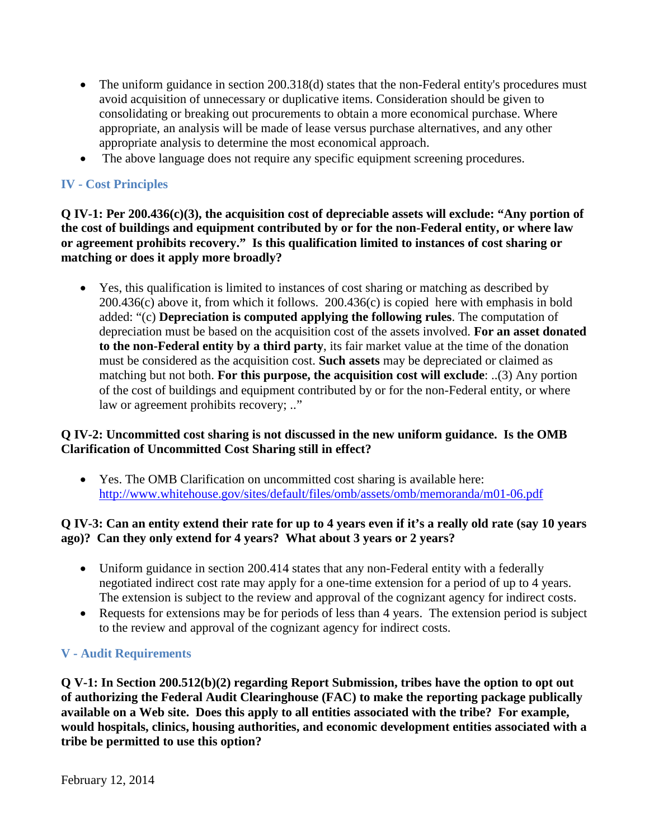- The uniform guidance in section 200.318(d) states that the non-Federal entity's procedures must avoid acquisition of unnecessary or duplicative items. Consideration should be given to consolidating or breaking out procurements to obtain a more economical purchase. Where appropriate, an analysis will be made of lease versus purchase alternatives, and any other appropriate analysis to determine the most economical approach.
- The above language does not require any specific equipment screening procedures.

# **IV - Cost Principles**

**Q IV-1: Per 200.436(c)(3), the acquisition cost of depreciable assets will exclude: "Any portion of the cost of buildings and equipment contributed by or for the non-Federal entity, or where law or agreement prohibits recovery." Is this qualification limited to instances of cost sharing or matching or does it apply more broadly?** 

• Yes, this qualification is limited to instances of cost sharing or matching as described by 200.436(c) above it, from which it follows. 200.436(c) is copied here with emphasis in bold added: "(c) **Depreciation is computed applying the following rules**. The computation of depreciation must be based on the acquisition cost of the assets involved. **For an asset donated to the non-Federal entity by a third party**, its fair market value at the time of the donation must be considered as the acquisition cost. **Such assets** may be depreciated or claimed as matching but not both. **For this purpose, the acquisition cost will exclude**: ..(3) Any portion of the cost of buildings and equipment contributed by or for the non-Federal entity, or where law or agreement prohibits recovery; .."

#### **Q IV-2: Uncommitted cost sharing is not discussed in the new uniform guidance. Is the OMB Clarification of Uncommitted Cost Sharing still in effect?**

• Yes. The OMB Clarification on uncommitted cost sharing is available here: <http://www.whitehouse.gov/sites/default/files/omb/assets/omb/memoranda/m01-06.pdf>

#### **Q IV-3: Can an entity extend their rate for up to 4 years even if it's a really old rate (say 10 years ago)? Can they only extend for 4 years? What about 3 years or 2 years?**

- Uniform guidance in section 200.414 states that any non-Federal entity with a federally negotiated indirect cost rate may apply for a one-time extension for a period of up to 4 years. The extension is subject to the review and approval of the cognizant agency for indirect costs.
- Requests for extensions may be for periods of less than 4 years. The extension period is subject to the review and approval of the cognizant agency for indirect costs.

### **V - Audit Requirements**

**Q V-1: In Section 200.512(b)(2) regarding Report Submission, tribes have the option to opt out of authorizing the Federal Audit Clearinghouse (FAC) to make the reporting package publically available on a Web site. Does this apply to all entities associated with the tribe? For example, would hospitals, clinics, housing authorities, and economic development entities associated with a tribe be permitted to use this option?**